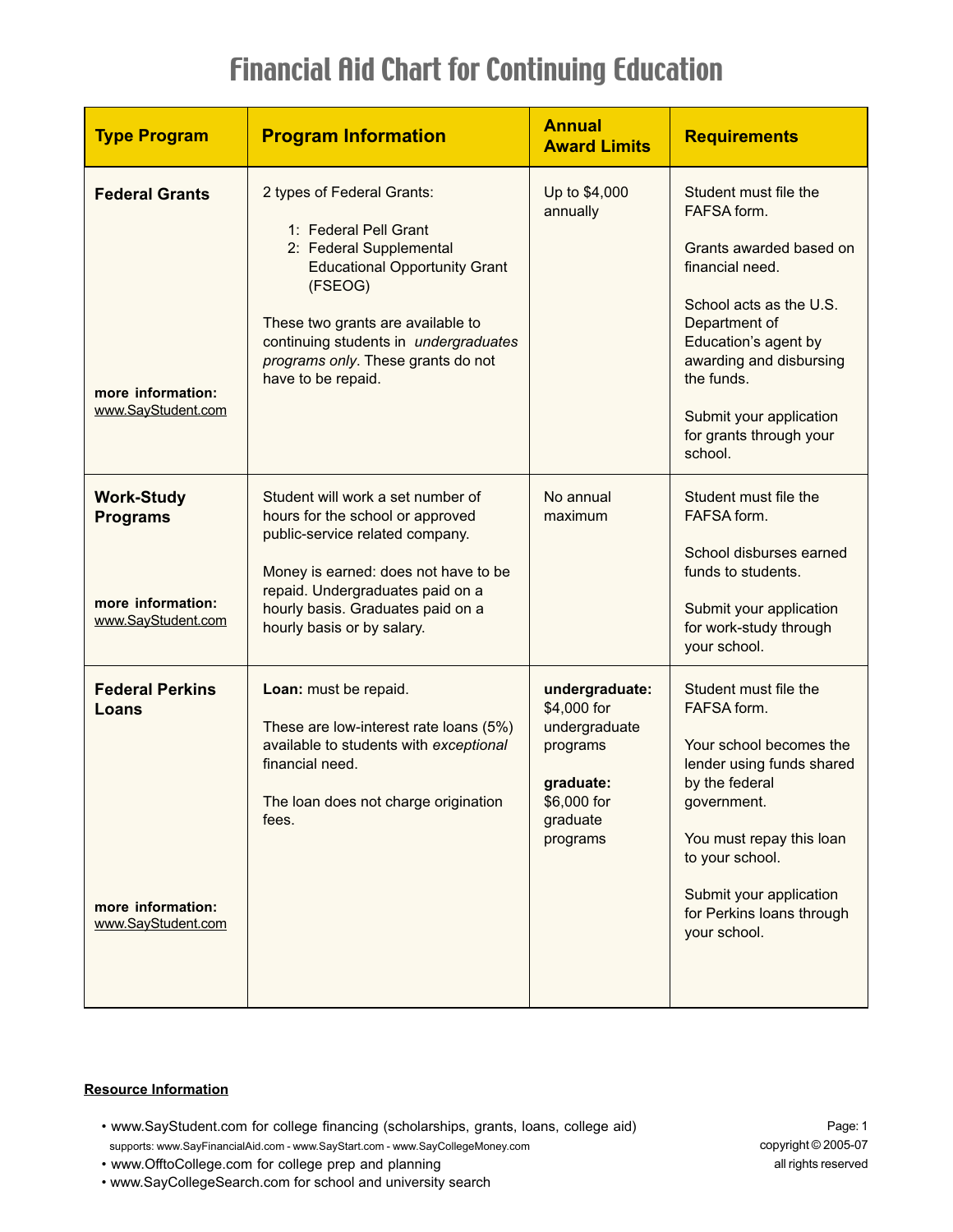| <b>Type Program</b>                                                             | <b>Program Information</b>                                                                                                                                                                                                                                                  | <b>Annual</b><br><b>Award Limits</b>                                                                           | <b>Requirements</b>                                                                                                                                                                                                                                              |
|---------------------------------------------------------------------------------|-----------------------------------------------------------------------------------------------------------------------------------------------------------------------------------------------------------------------------------------------------------------------------|----------------------------------------------------------------------------------------------------------------|------------------------------------------------------------------------------------------------------------------------------------------------------------------------------------------------------------------------------------------------------------------|
| <b>Federal Grants</b><br>more information:<br>www.SayStudent.com                | 2 types of Federal Grants:<br>1: Federal Pell Grant<br>2: Federal Supplemental<br><b>Educational Opportunity Grant</b><br>(FSEOG)<br>These two grants are available to<br>continuing students in undergraduates<br>programs only. These grants do not<br>have to be repaid. | Up to \$4,000<br>annually                                                                                      | Student must file the<br>FAFSA form.<br>Grants awarded based on<br>financial need.<br>School acts as the U.S.<br>Department of<br>Education's agent by<br>awarding and disbursing<br>the funds.<br>Submit your application<br>for grants through your<br>school. |
| <b>Work-Study</b><br><b>Programs</b><br>more information:<br>www.SayStudent.com | Student will work a set number of<br>hours for the school or approved<br>public-service related company.<br>Money is earned: does not have to be<br>repaid. Undergraduates paid on a<br>hourly basis. Graduates paid on a<br>hourly basis or by salary.                     | No annual<br>maximum                                                                                           | Student must file the<br>FAFSA form.<br>School disburses earned<br>funds to students.<br>Submit your application<br>for work-study through<br>your school.                                                                                                       |
| <b>Federal Perkins</b><br>Loans<br>more information:<br>www.SayStudent.com      | Loan: must be repaid.<br>These are low-interest rate loans (5%)<br>available to students with exceptional<br>financial need.<br>The loan does not charge origination<br>fees.                                                                                               | undergraduate:<br>\$4,000 for<br>undergraduate<br>programs<br>graduate:<br>\$6,000 for<br>graduate<br>programs | Student must file the<br>FAFSA form.<br>Your school becomes the<br>lender using funds shared<br>by the federal<br>government.<br>You must repay this loan<br>to your school.<br>Submit your application<br>for Perkins loans through<br>your school.             |

### **Resource Information**

• www.SayStudent.com for college financing (scholarships, grants, loans, college aid) • supports: www.SayFinancialAid.com - www.SayStart.com - www.SayCollegeMoney.com

Page: 1 copyright © 2005-07 all rights reserved

- www.OfftoCollege.com for college prep and planning
- www.SayCollegeSearch.com for school and university search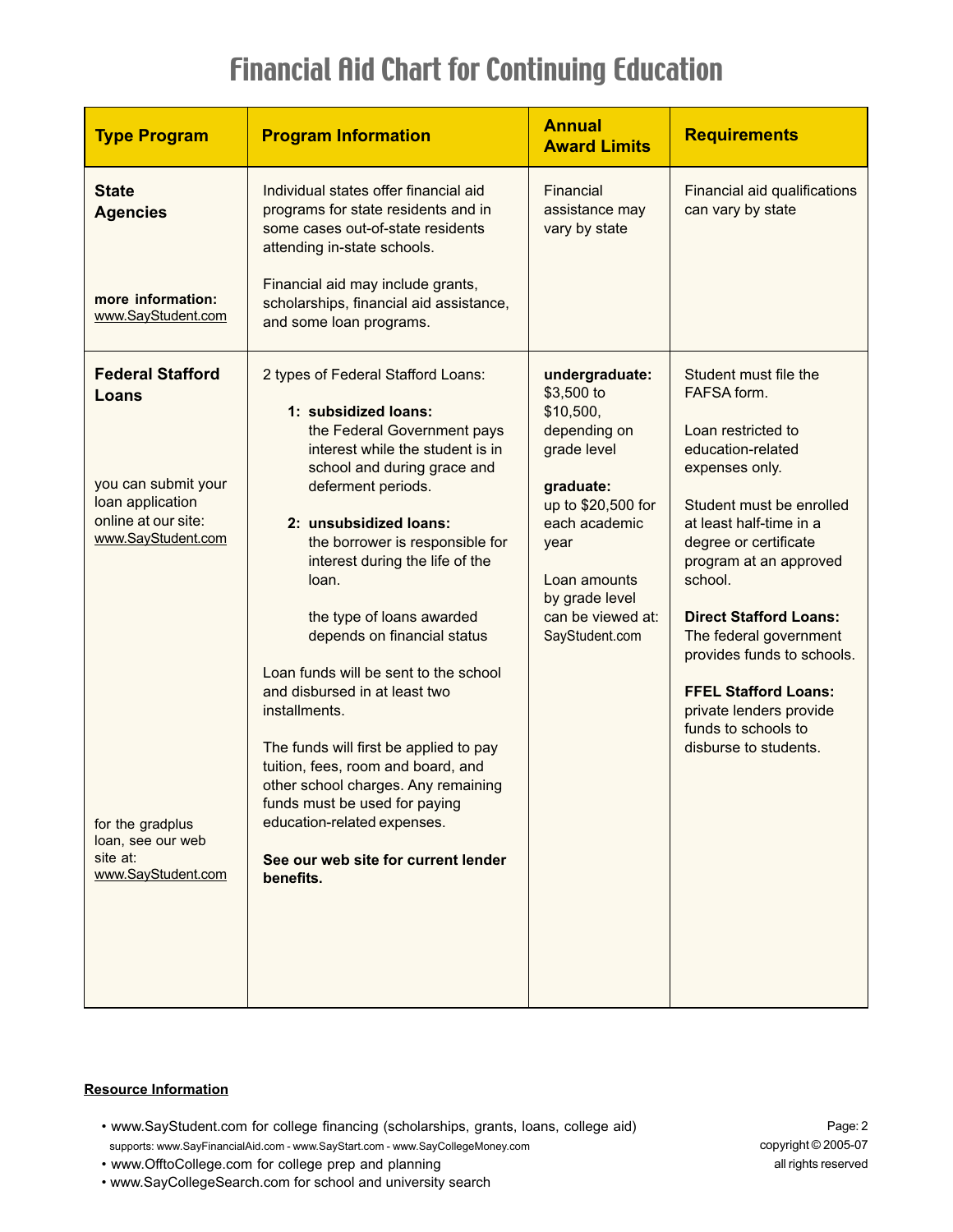| <b>Type Program</b>                                                                                                                                                                                 | <b>Program Information</b>                                                                                                                                                                                                                                                                                                                                                                                                                                                                                                                                                                                                                                                                    | <b>Annual</b><br><b>Award Limits</b>                                                                                                                                                                          | <b>Requirements</b>                                                                                                                                                                                                                                                                                                                                                                                                       |
|-----------------------------------------------------------------------------------------------------------------------------------------------------------------------------------------------------|-----------------------------------------------------------------------------------------------------------------------------------------------------------------------------------------------------------------------------------------------------------------------------------------------------------------------------------------------------------------------------------------------------------------------------------------------------------------------------------------------------------------------------------------------------------------------------------------------------------------------------------------------------------------------------------------------|---------------------------------------------------------------------------------------------------------------------------------------------------------------------------------------------------------------|---------------------------------------------------------------------------------------------------------------------------------------------------------------------------------------------------------------------------------------------------------------------------------------------------------------------------------------------------------------------------------------------------------------------------|
| <b>State</b><br><b>Agencies</b><br>more information:<br>www.SayStudent.com                                                                                                                          | Individual states offer financial aid<br>programs for state residents and in<br>some cases out-of-state residents<br>attending in-state schools.<br>Financial aid may include grants,<br>scholarships, financial aid assistance,<br>and some loan programs.                                                                                                                                                                                                                                                                                                                                                                                                                                   | Financial<br>assistance may<br>vary by state                                                                                                                                                                  | Financial aid qualifications<br>can vary by state                                                                                                                                                                                                                                                                                                                                                                         |
| <b>Federal Stafford</b><br>Loans<br>you can submit your<br>loan application<br>online at our site:<br>www.SayStudent.com<br>for the gradplus<br>loan, see our web<br>site at:<br>www.SayStudent.com | 2 types of Federal Stafford Loans:<br>1: subsidized loans:<br>the Federal Government pays<br>interest while the student is in<br>school and during grace and<br>deferment periods.<br>2: unsubsidized loans:<br>the borrower is responsible for<br>interest during the life of the<br>loan.<br>the type of loans awarded<br>depends on financial status<br>Loan funds will be sent to the school<br>and disbursed in at least two<br>installments.<br>The funds will first be applied to pay<br>tuition, fees, room and board, and<br>other school charges. Any remaining<br>funds must be used for paying<br>education-related expenses.<br>See our web site for current lender<br>benefits. | undergraduate:<br>\$3,500 to<br>\$10,500,<br>depending on<br>grade level<br>graduate:<br>up to \$20,500 for<br>each academic<br>year<br>Loan amounts<br>by grade level<br>can be viewed at:<br>SayStudent.com | Student must file the<br>FAFSA form.<br>Loan restricted to<br>education-related<br>expenses only.<br>Student must be enrolled<br>at least half-time in a<br>degree or certificate<br>program at an approved<br>school.<br><b>Direct Stafford Loans:</b><br>The federal government<br>provides funds to schools.<br><b>FFEL Stafford Loans:</b><br>private lenders provide<br>funds to schools to<br>disburse to students. |

### **Resource Information**

• www.SayStudent.com for college financing (scholarships, grants, loans, college aid) • supports: www.SayFinancialAid.com - www.SayStart.com - www.SayCollegeMoney.com

Page: 2 copyright © 2005-07 all rights reserved

- www.OfftoCollege.com for college prep and planning
- www.SayCollegeSearch.com for school and university search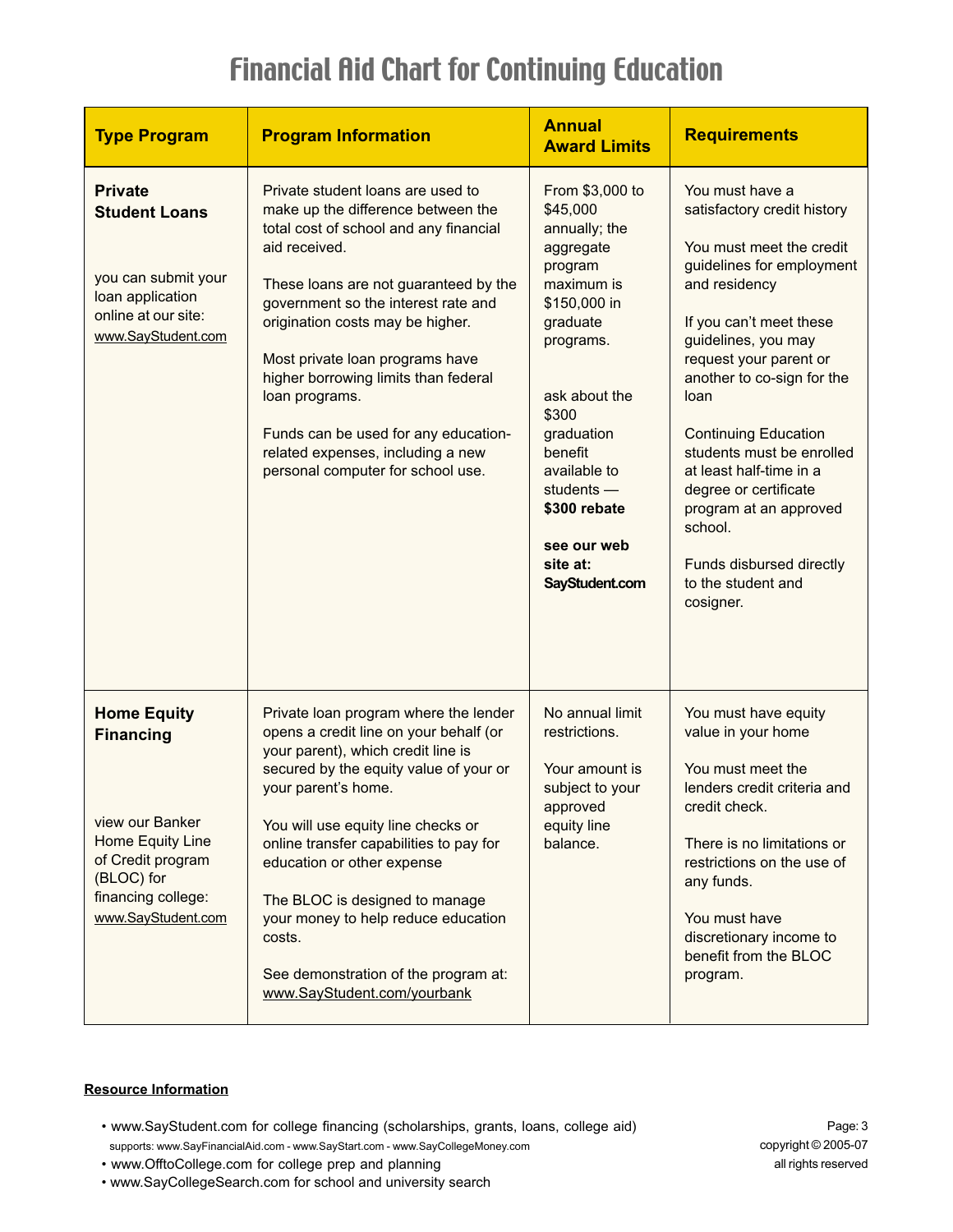| <b>Type Program</b>                                                                                                                                          | <b>Program Information</b>                                                                                                                                                                                                                                                                                                                                                                                                                                            | <b>Annual</b><br><b>Award Limits</b>                                                                                                                                                                                                                                               | <b>Requirements</b>                                                                                                                                                                                                                                                                                                                                                                                                                                            |
|--------------------------------------------------------------------------------------------------------------------------------------------------------------|-----------------------------------------------------------------------------------------------------------------------------------------------------------------------------------------------------------------------------------------------------------------------------------------------------------------------------------------------------------------------------------------------------------------------------------------------------------------------|------------------------------------------------------------------------------------------------------------------------------------------------------------------------------------------------------------------------------------------------------------------------------------|----------------------------------------------------------------------------------------------------------------------------------------------------------------------------------------------------------------------------------------------------------------------------------------------------------------------------------------------------------------------------------------------------------------------------------------------------------------|
| <b>Private</b><br><b>Student Loans</b><br>you can submit your<br>loan application<br>online at our site:<br>www.SayStudent.com                               | Private student loans are used to<br>make up the difference between the<br>total cost of school and any financial<br>aid received.<br>These loans are not guaranteed by the<br>government so the interest rate and<br>origination costs may be higher.<br>Most private loan programs have<br>higher borrowing limits than federal<br>loan programs.<br>Funds can be used for any education-<br>related expenses, including a new<br>personal computer for school use. | From \$3,000 to<br>\$45,000<br>annually; the<br>aggregate<br>program<br>maximum is<br>\$150,000 in<br>graduate<br>programs.<br>ask about the<br>\$300<br>graduation<br><b>benefit</b><br>available to<br>students $-$<br>\$300 rebate<br>see our web<br>site at:<br>SayStudent.com | You must have a<br>satisfactory credit history<br>You must meet the credit<br>guidelines for employment<br>and residency<br>If you can't meet these<br>guidelines, you may<br>request your parent or<br>another to co-sign for the<br>loan<br><b>Continuing Education</b><br>students must be enrolled<br>at least half-time in a<br>degree or certificate<br>program at an approved<br>school.<br>Funds disbursed directly<br>to the student and<br>cosigner. |
| <b>Home Equity</b><br><b>Financing</b><br>view our Banker<br>Home Equity Line<br>of Credit program<br>(BLOC) for<br>financing college:<br>www.SayStudent.com | Private loan program where the lender<br>opens a credit line on your behalf (or<br>your parent), which credit line is<br>secured by the equity value of your or<br>your parent's home.<br>You will use equity line checks or<br>online transfer capabilities to pay for<br>education or other expense<br>The BLOC is designed to manage<br>your money to help reduce education<br>costs.<br>See demonstration of the program at:<br>www.SayStudent.com/yourbank       | No annual limit<br>restrictions.<br>Your amount is<br>subject to your<br>approved<br>equity line<br>balance.                                                                                                                                                                       | You must have equity<br>value in your home<br>You must meet the<br>lenders credit criteria and<br>credit check.<br>There is no limitations or<br>restrictions on the use of<br>any funds.<br>You must have<br>discretionary income to<br>benefit from the BLOC<br>program.                                                                                                                                                                                     |

### **Resource Information**

• www.SayStudent.com for college financing (scholarships, grants, loans, college aid) • supports: www.SayFinancialAid.com - www.SayStart.com - www.SayCollegeMoney.com

Page: 3 copyright © 2005-07 all rights reserved

- www.OfftoCollege.com for college prep and planning
- www.SayCollegeSearch.com for school and university search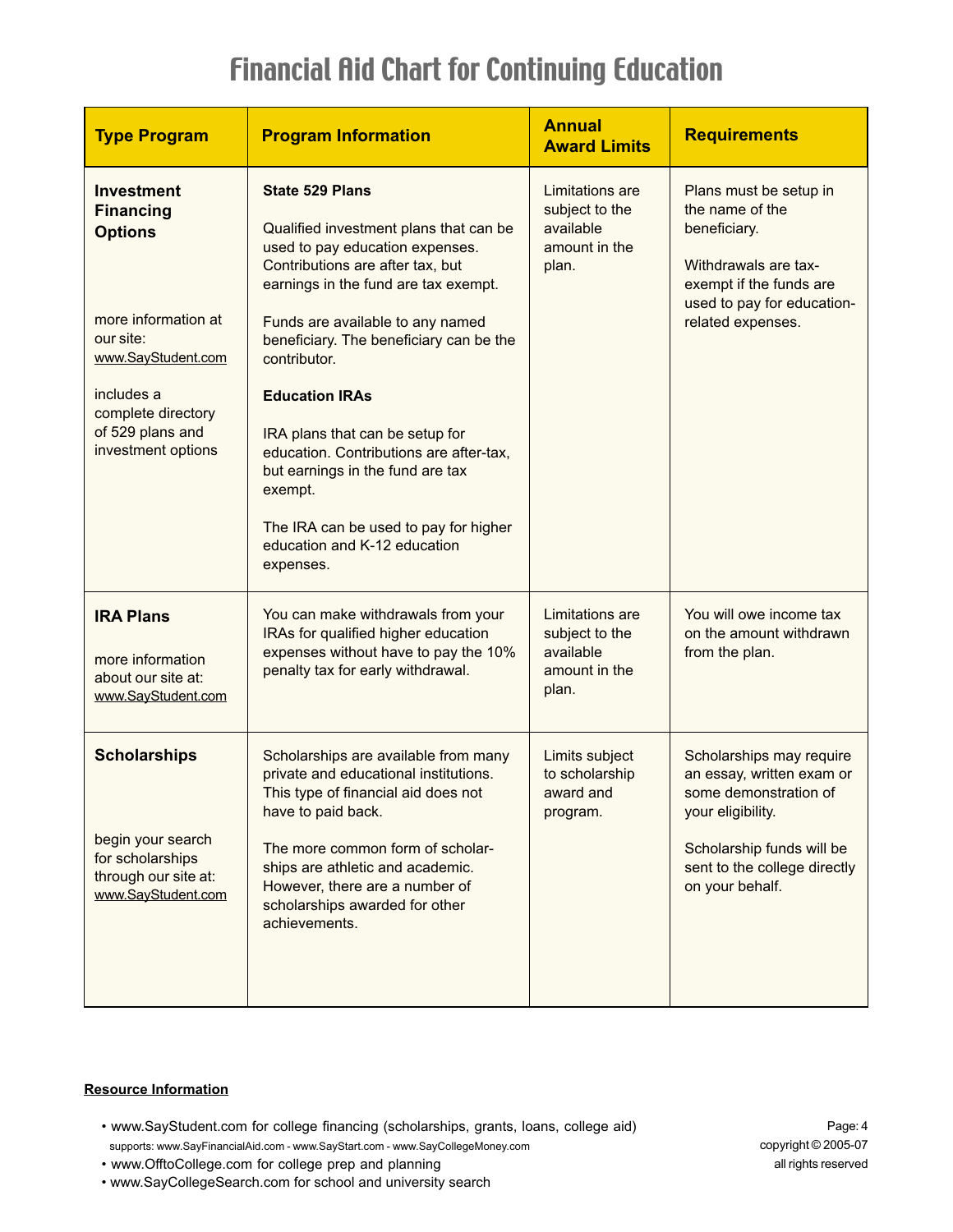| <b>Type Program</b>                                                                                                                                                                             | <b>Program Information</b>                                                                                                                                                                                                                                                                                                                                                                                                                                                                                                 | <b>Annual</b><br><b>Award Limits</b>                                     | <b>Requirements</b>                                                                                                                                                                 |
|-------------------------------------------------------------------------------------------------------------------------------------------------------------------------------------------------|----------------------------------------------------------------------------------------------------------------------------------------------------------------------------------------------------------------------------------------------------------------------------------------------------------------------------------------------------------------------------------------------------------------------------------------------------------------------------------------------------------------------------|--------------------------------------------------------------------------|-------------------------------------------------------------------------------------------------------------------------------------------------------------------------------------|
| <b>Investment</b><br><b>Financing</b><br><b>Options</b><br>more information at<br>our site:<br>www.SayStudent.com<br>includes a<br>complete directory<br>of 529 plans and<br>investment options | <b>State 529 Plans</b><br>Qualified investment plans that can be<br>used to pay education expenses.<br>Contributions are after tax, but<br>earnings in the fund are tax exempt.<br>Funds are available to any named<br>beneficiary. The beneficiary can be the<br>contributor.<br><b>Education IRAs</b><br>IRA plans that can be setup for<br>education. Contributions are after-tax,<br>but earnings in the fund are tax<br>exempt.<br>The IRA can be used to pay for higher<br>education and K-12 education<br>expenses. | Limitations are<br>subject to the<br>available<br>amount in the<br>plan. | Plans must be setup in<br>the name of the<br>beneficiary.<br>Withdrawals are tax-<br>exempt if the funds are<br>used to pay for education-<br>related expenses.                     |
| <b>IRA Plans</b><br>more information<br>about our site at:<br>www.SayStudent.com                                                                                                                | You can make withdrawals from your<br>IRAs for qualified higher education<br>expenses without have to pay the 10%<br>penalty tax for early withdrawal.                                                                                                                                                                                                                                                                                                                                                                     | Limitations are<br>subject to the<br>available<br>amount in the<br>plan. | You will owe income tax<br>on the amount withdrawn<br>from the plan.                                                                                                                |
| <b>Scholarships</b><br>begin your search<br>for scholarships<br>through our site at:<br>www.SayStudent.com                                                                                      | Scholarships are available from many<br>private and educational institutions.<br>This type of financial aid does not<br>have to paid back.<br>The more common form of scholar-<br>ships are athletic and academic.<br>However, there are a number of<br>scholarships awarded for other<br>achievements.                                                                                                                                                                                                                    | Limits subject<br>to scholarship<br>award and<br>program.                | Scholarships may require<br>an essay, written exam or<br>some demonstration of<br>your eligibility.<br>Scholarship funds will be<br>sent to the college directly<br>on your behalf. |

#### **Resource Information**

• www.SayStudent.com for college financing (scholarships, grants, loans, college aid) • supports: www.SayFinancialAid.com - www.SayStart.com - www.SayCollegeMoney.com

Page: 4 copyright © 2005-07 all rights reserved

- www.OfftoCollege.com for college prep and planning
- www.SayCollegeSearch.com for school and university search